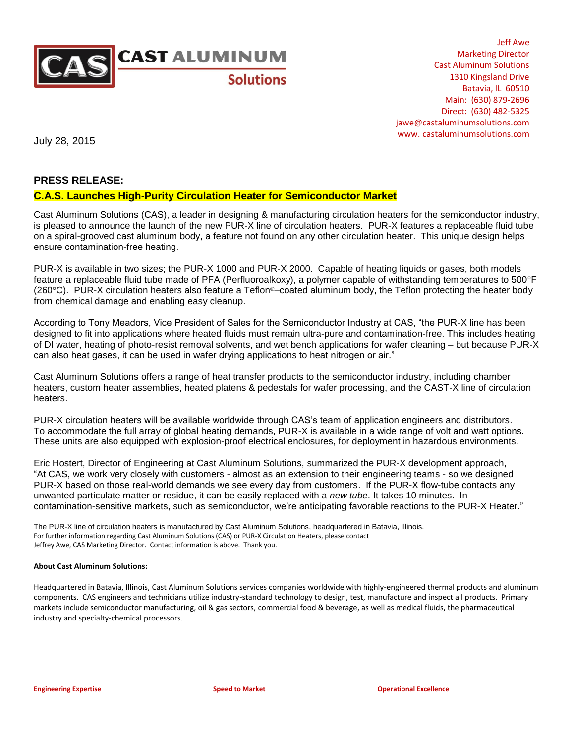

Jeff Awe Marketing Director Cast Aluminum Solutions 1310 Kingsland Drive Batavia, IL 60510 Main: (630) 879-2696 Direct: (630) 482-5325 jawe@castaluminumsolutions.com www. castaluminumsolutions.com

July 28, 2015

## **PRESS RELEASE:**

## **C.A.S. Launches High-Purity Circulation Heater for Semiconductor Market**

Cast Aluminum Solutions (CAS), a leader in designing & manufacturing circulation heaters for the semiconductor industry, is pleased to announce the launch of the new PUR-X line of circulation heaters. PUR-X features a replaceable fluid tube on a spiral-grooved cast aluminum body, a feature not found on any other circulation heater. This unique design helps ensure contamination-free heating.

PUR-X is available in two sizes; the PUR-X 1000 and PUR-X 2000. Capable of heating liquids or gases, both models feature a replaceable fluid tube made of PFA (Perfluoroalkoxy), a polymer capable of withstanding temperatures to 500°F (260°C). PUR-X circulation heaters also feature a Teflon®–coated aluminum body, the Teflon protecting the heater body from chemical damage and enabling easy cleanup.

According to Tony Meadors, Vice President of Sales for the Semiconductor Industry at CAS, "the PUR-X line has been designed to fit into applications where heated fluids must remain ultra-pure and contamination-free. This includes heating of DI water, heating of photo-resist removal solvents, and wet bench applications for wafer cleaning – but because PUR-X can also heat gases, it can be used in wafer drying applications to heat nitrogen or air."

Cast Aluminum Solutions offers a range of heat transfer products to the semiconductor industry, including chamber heaters, custom heater assemblies, heated platens & pedestals for wafer processing, and the CAST-X line of circulation heaters.

PUR-X circulation heaters will be available worldwide through CAS's team of application engineers and distributors. To accommodate the full array of global heating demands, PUR-X is available in a wide range of volt and watt options. These units are also equipped with explosion-proof electrical enclosures, for deployment in hazardous environments.

Eric Hostert, Director of Engineering at Cast Aluminum Solutions, summarized the PUR-X development approach, "At CAS, we work very closely with customers - almost as an extension to their engineering teams - so we designed PUR-X based on those real-world demands we see every day from customers. If the PUR-X flow-tube contacts any unwanted particulate matter or residue, it can be easily replaced with a *new tube*. It takes 10 minutes. In contamination-sensitive markets, such as semiconductor, we're anticipating favorable reactions to the PUR-X Heater."

The PUR-X line of circulation heaters is manufactured by Cast Aluminum Solutions, headquartered in Batavia, Illinois. For further information regarding Cast Aluminum Solutions (CAS) or PUR-X Circulation Heaters, please contact Jeffrey Awe, CAS Marketing Director. Contact information is above. Thank you.

## **About Cast Aluminum Solutions:**

Headquartered in Batavia, Illinois, Cast Aluminum Solutions services companies worldwide with highly-engineered thermal products and aluminum components. CAS engineers and technicians utilize industry-standard technology to design, test, manufacture and inspect all products. Primary markets include semiconductor manufacturing, oil & gas sectors, commercial food & beverage, as well as medical fluids, the pharmaceutical industry and specialty-chemical processors.